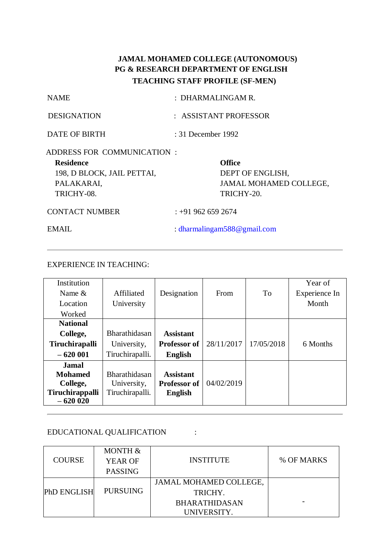# **JAMAL MOHAMED COLLEGE (AUTONOMOUS) PG & RESEARCH DEPARTMENT OF ENGLISH TEACHING STAFF PROFILE (SF-MEN)**

| <b>NAME</b>                                                                                              | : DHARMALINGAM R.  |                                                                                  |
|----------------------------------------------------------------------------------------------------------|--------------------|----------------------------------------------------------------------------------|
| <b>DESIGNATION</b>                                                                                       |                    | : ASSISTANT PROFESSOR                                                            |
| DATE OF BIRTH                                                                                            | : 31 December 1992 |                                                                                  |
| ADDRESS FOR COMMUNICATION:<br><b>Residence</b><br>198, D BLOCK, JAIL PETTAI,<br>PALAKARAI,<br>TRICHY-08. |                    | <b>Office</b><br>DEPT OF ENGLISH,<br><b>JAMAL MOHAMED COLLEGE,</b><br>TRICHY-20. |
| <b>CONTACT NUMBER</b>                                                                                    | $: +919626592674$  |                                                                                  |

EMAIL : [dharmalingam588@gmail.com](mailto:dharmalingam588@gmail.com)

# EXPERIENCE IN TEACHING:

| Institution           |                 |                     |            |            | Year of       |
|-----------------------|-----------------|---------------------|------------|------------|---------------|
| Name $\&$             | Affiliated      | Designation         | From       | To         | Experience In |
| Location              | University      |                     |            |            | Month         |
| Worked                |                 |                     |            |            |               |
| <b>National</b>       |                 |                     |            |            |               |
| College,              | Bharathidasan   | <b>Assistant</b>    |            |            |               |
| <b>Tiruchirapalli</b> | University,     | Professor of        | 28/11/2017 | 17/05/2018 | 6 Months      |
| $-620001$             | Tiruchirapalli. | <b>English</b>      |            |            |               |
| <b>Jamal</b>          |                 |                     |            |            |               |
| <b>Mohamed</b>        | Bharathidasan   | <b>Assistant</b>    |            |            |               |
| College,              | University,     | <b>Professor of</b> | 04/02/2019 |            |               |
| Tiruchirappalli       | Tiruchirapalli. | <b>English</b>      |            |            |               |
| $-620020$             |                 |                     |            |            |               |

# EDUCATIONAL QUALIFICATION :

|               | MONTH &        |                        |            |
|---------------|----------------|------------------------|------------|
| <b>COURSE</b> | <b>YEAR OF</b> | <b>INSTITUTE</b>       | % OF MARKS |
|               | <b>PASSING</b> |                        |            |
|               |                | JAMAL MOHAMED COLLEGE, |            |
| PhD ENGLISH   | PURSUING       | TRICHY.                |            |
|               |                | <b>BHARATHIDASAN</b>   |            |
|               |                | UNIVERSITY.            |            |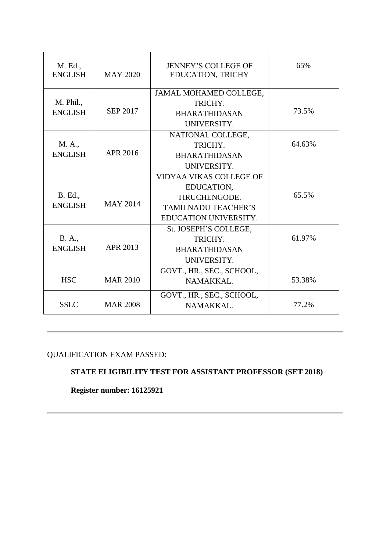| M. Ed.,<br><b>ENGLISH</b> | <b>MAY 2020</b> | <b>JENNEY'S COLLEGE OF</b><br><b>EDUCATION, TRICHY</b> | 65%    |
|---------------------------|-----------------|--------------------------------------------------------|--------|
|                           | <b>SEP 2017</b> | JAMAL MOHAMED COLLEGE,                                 |        |
| M. Phil.,                 |                 | TRICHY.                                                |        |
| <b>ENGLISH</b>            |                 | <b>BHARATHIDASAN</b>                                   | 73.5%  |
|                           |                 | UNIVERSITY.                                            |        |
|                           |                 | NATIONAL COLLEGE,                                      |        |
| M. A.,                    |                 | TRICHY.                                                | 64.63% |
| <b>ENGLISH</b>            | APR 2016        | <b>BHARATHIDASAN</b>                                   |        |
|                           |                 | UNIVERSITY.                                            |        |
|                           |                 | VIDYAA VIKAS COLLEGE OF                                |        |
|                           |                 | EDUCATION,                                             |        |
| B. Ed.,                   | <b>MAY 2014</b> | TIRUCHENGODE.                                          | 65.5%  |
| <b>ENGLISH</b>            |                 | <b>TAMILNADU TEACHER'S</b>                             |        |
|                           |                 | EDUCATION UNIVERSITY.                                  |        |
|                           |                 | St. JOSEPH'S COLLEGE,                                  |        |
| B. A.,                    |                 | TRICHY.                                                | 61.97% |
| <b>ENGLISH</b>            | APR 2013        | <b>BHARATHIDASAN</b>                                   |        |
|                           |                 | UNIVERSITY.                                            |        |
|                           |                 | GOVT., HR., SEC., SCHOOL,                              |        |
| <b>HSC</b>                | <b>MAR 2010</b> | NAMAKKAL.                                              | 53.38% |
|                           |                 | GOVT., HR., SEC., SCHOOL,                              |        |
| <b>SSLC</b>               | <b>MAR 2008</b> | NAMAKKAL.                                              | 77.2%  |

QUALIFICATION EXAM PASSED:

# **STATE ELIGIBILITY TEST FOR ASSISTANT PROFESSOR (SET 2018)**

**Register number: 16125921**